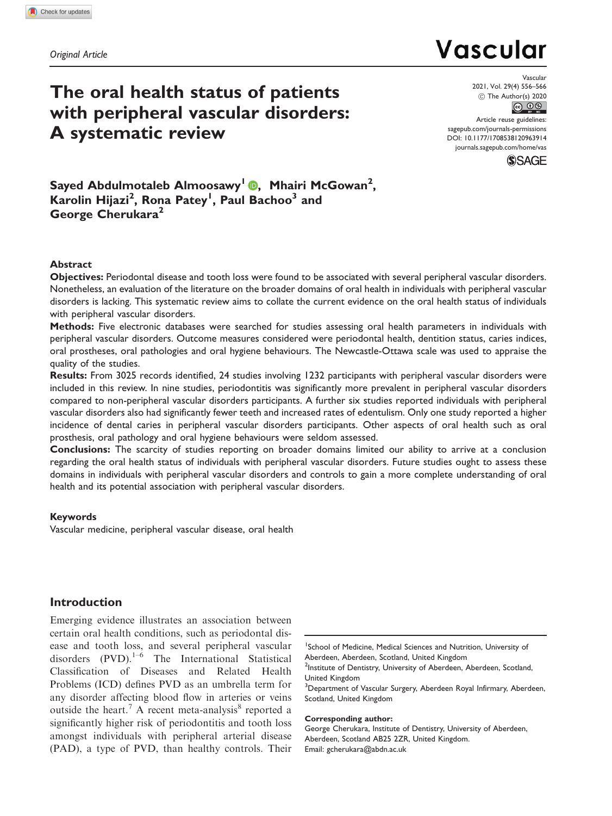# The oral health status of patients with peripheral vascular disorders: A systematic review

Vascular

Vascular 2021, Vol. 29(4) 556–566  $\circled{c}$  The Author(s) 2020  $\circledcirc$   $\circledcirc$ 

Article reuse guidelines: sagepub.com/journals-permissions DOI: 10.1177/1708538120963914 journals.sagepub.com/home/vas



Sayed Abdulmotaleb Almoosawy1 , Mhairi McGowan2 , Karolin Hijazi<sup>2</sup>, Rona Patey<sup>1</sup>, Paul Bachoo<sup>3</sup> and George Cherukara<sup>2</sup>

#### Abstract

Objectives: Periodontal disease and tooth loss were found to be associated with several peripheral vascular disorders. Nonetheless, an evaluation of the literature on the broader domains of oral health in individuals with peripheral vascular disorders is lacking. This systematic review aims to collate the current evidence on the oral health status of individuals with peripheral vascular disorders.

Methods: Five electronic databases were searched for studies assessing oral health parameters in individuals with peripheral vascular disorders. Outcome measures considered were periodontal health, dentition status, caries indices, oral prostheses, oral pathologies and oral hygiene behaviours. The Newcastle-Ottawa scale was used to appraise the quality of the studies.

Results: From 3025 records identified, 24 studies involving 1232 participants with peripheral vascular disorders were included in this review. In nine studies, periodontitis was significantly more prevalent in peripheral vascular disorders compared to non-peripheral vascular disorders participants. A further six studies reported individuals with peripheral vascular disorders also had significantly fewer teeth and increased rates of edentulism. Only one study reported a higher incidence of dental caries in peripheral vascular disorders participants. Other aspects of oral health such as oral prosthesis, oral pathology and oral hygiene behaviours were seldom assessed.

Conclusions: The scarcity of studies reporting on broader domains limited our ability to arrive at a conclusion regarding the oral health status of individuals with peripheral vascular disorders. Future studies ought to assess these domains in individuals with peripheral vascular disorders and controls to gain a more complete understanding of oral health and its potential association with peripheral vascular disorders.

#### Keywords

Vascular medicine, peripheral vascular disease, oral health

# Introduction

Emerging evidence illustrates an association between certain oral health conditions, such as periodontal disease and tooth loss, and several peripheral vascular disorders  $(PVD)$ .<sup>1–6</sup> The International Statistical Classification of Diseases and Related Health Problems (ICD) defines PVD as an umbrella term for any disorder affecting blood flow in arteries or veins outside the heart.<sup>7</sup> A recent meta-analysis<sup>8</sup> reported a significantly higher risk of periodontitis and tooth loss amongst individuals with peripheral arterial disease (PAD), a type of PVD, than healthy controls. Their

<sup>1</sup>School of Medicine, Medical Sciences and Nutrition, University of Aberdeen, Aberdeen, Scotland, United Kingdom <sup>2</sup>Institute of Dentistry, University of Aberdeen, Aberdeen, Scotland, United Kingdom <sup>3</sup>Department of Vascular Surgery, Aberdeen Royal Infirmary, Aberdeen,

Scotland, United Kingdom

#### Corresponding author:

George Cherukara, Institute of Dentistry, University of Aberdeen, Aberdeen, Scotland AB25 2ZR, United Kingdom. Email: gcherukara@abdn.ac.uk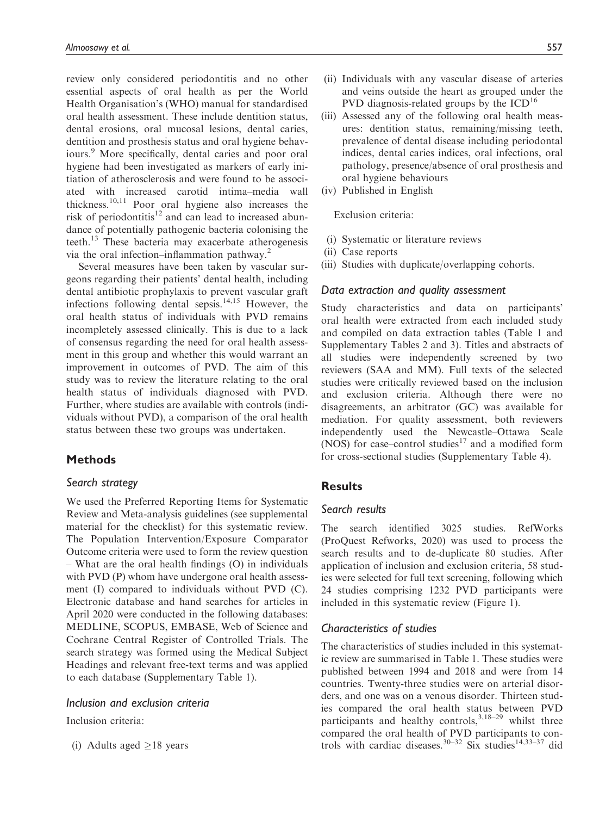review only considered periodontitis and no other essential aspects of oral health as per the World Health Organisation's (WHO) manual for standardised oral health assessment. These include dentition status, dental erosions, oral mucosal lesions, dental caries, dentition and prosthesis status and oral hygiene behaviours.<sup>9</sup> More specifically, dental caries and poor oral hygiene had been investigated as markers of early initiation of atherosclerosis and were found to be associated with increased carotid intima–media wall thickness.10,11 Poor oral hygiene also increases the risk of periodontitis $12$  and can lead to increased abundance of potentially pathogenic bacteria colonising the teeth.<sup>13</sup> These bacteria may exacerbate atherogenesis via the oral infection–inflammation pathway.<sup>2</sup>

Several measures have been taken by vascular surgeons regarding their patients' dental health, including dental antibiotic prophylaxis to prevent vascular graft infections following dental sepsis.<sup>14,15</sup> However, the oral health status of individuals with PVD remains incompletely assessed clinically. This is due to a lack of consensus regarding the need for oral health assessment in this group and whether this would warrant an improvement in outcomes of PVD. The aim of this study was to review the literature relating to the oral health status of individuals diagnosed with PVD. Further, where studies are available with controls (individuals without PVD), a comparison of the oral health status between these two groups was undertaken.

# Methods

#### Search strategy

We used the Preferred Reporting Items for Systematic Review and Meta-analysis guidelines (see supplemental material for the checklist) for this systematic review. The Population Intervention/Exposure Comparator Outcome criteria were used to form the review question – What are the oral health findings (O) in individuals with PVD (P) whom have undergone oral health assessment (I) compared to individuals without PVD (C). Electronic database and hand searches for articles in April 2020 were conducted in the following databases: MEDLINE, SCOPUS, EMBASE, Web of Science and Cochrane Central Register of Controlled Trials. The search strategy was formed using the Medical Subject Headings and relevant free-text terms and was applied to each database (Supplementary Table 1).

## Inclusion and exclusion criteria

Inclusion criteria:

(i) Adults aged  $\geq$ 18 years

- (ii) Individuals with any vascular disease of arteries and veins outside the heart as grouped under the PVD diagnosis-related groups by the  $ICD<sup>16</sup>$
- (iii) Assessed any of the following oral health measures: dentition status, remaining/missing teeth, prevalence of dental disease including periodontal indices, dental caries indices, oral infections, oral pathology, presence/absence of oral prosthesis and oral hygiene behaviours
- (iv) Published in English

Exclusion criteria:

- (i) Systematic or literature reviews
- (ii) Case reports
- (iii) Studies with duplicate/overlapping cohorts.

#### Data extraction and quality assessment

Study characteristics and data on participants' oral health were extracted from each included study and compiled on data extraction tables (Table 1 and Supplementary Tables 2 and 3). Titles and abstracts of all studies were independently screened by two reviewers (SAA and MM). Full texts of the selected studies were critically reviewed based on the inclusion and exclusion criteria. Although there were no disagreements, an arbitrator (GC) was available for mediation. For quality assessment, both reviewers independently used the Newcastle–Ottawa Scale (NOS) for case–control studies<sup>17</sup> and a modified form for cross-sectional studies (Supplementary Table 4).

## **Results**

## Search results

The search identified 3025 studies. RefWorks (ProQuest Refworks, 2020) was used to process the search results and to de-duplicate 80 studies. After application of inclusion and exclusion criteria, 58 studies were selected for full text screening, following which 24 studies comprising 1232 PVD participants were included in this systematic review (Figure 1).

# Characteristics of studies

The characteristics of studies included in this systematic review are summarised in Table 1. These studies were published between 1994 and 2018 and were from 14 countries. Twenty-three studies were on arterial disorders, and one was on a venous disorder. Thirteen studies compared the oral health status between PVD participants and healthy controls,  $3,18-29$  whilst three compared the oral health of PVD participants to controls with cardiac diseases.<sup>30–32</sup> Six studies<sup>14,33–37</sup> did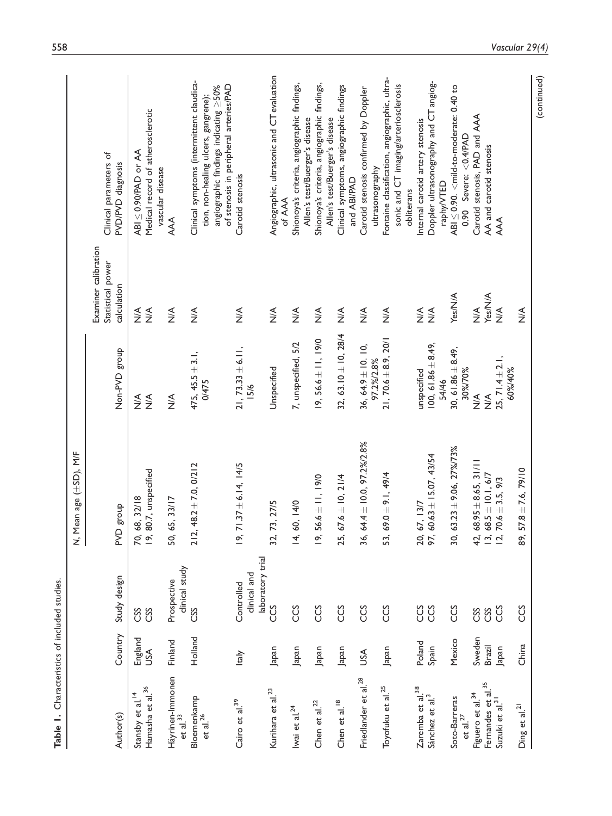| Country<br>Holland<br>England<br>Finland<br>υsΑ<br>Italy<br>Häyrinen-Immonen<br>et al. <sup>33</sup><br>Hamasha et al. <sup>36</sup><br>Stansby et al. <sup>14</sup><br>Bloemenkamp<br>Cairo et al. <sup>39</sup><br>Author(s)<br>et al. $^{26}$ | clinical study<br>Study design<br>Prospective<br>CSS<br>CSS |                                                                 |                                      |                                                          |                                                                                                                                                                            |
|--------------------------------------------------------------------------------------------------------------------------------------------------------------------------------------------------------------------------------------------------|-------------------------------------------------------------|-----------------------------------------------------------------|--------------------------------------|----------------------------------------------------------|----------------------------------------------------------------------------------------------------------------------------------------------------------------------------|
|                                                                                                                                                                                                                                                  |                                                             | PVD group                                                       | Non-PVD group                        | Examiner calibration<br>Statistical power<br>calculation | Clinical parameters of<br>PVD/PVD diagnosis                                                                                                                                |
|                                                                                                                                                                                                                                                  |                                                             | 68, 32/18<br><u>p</u> is                                        | $\stackrel{\leq}{\geq}$              | $\stackrel{\leq}{\geq}$                                  | ABI $\leq$ 0.90/PAD or AA                                                                                                                                                  |
|                                                                                                                                                                                                                                                  |                                                             | 80.7, unspecified                                               | $\frac{4}{2}$                        | $\frac{4}{2}$                                            | Medical record of atherosclerotic<br>vascular disease                                                                                                                      |
|                                                                                                                                                                                                                                                  |                                                             | 65, 33/17<br>50,                                                | $\frac{1}{2}$                        | $\lessgtr$                                               | AAA                                                                                                                                                                        |
|                                                                                                                                                                                                                                                  | CSS                                                         | , $48.2 \pm 7.0$ , 0/212<br>212                                 | 475, 45.5 $\pm$ 3.1,<br>0/475        | $\frac{4}{2}$                                            | Clinical symptoms (intermittent claudica-<br>of stenosis in peripheral arteries/PAD<br>angiographic findings indicating $\geq$ 50%<br>tion, non-healing ulcers, gangrene); |
|                                                                                                                                                                                                                                                  | laboratory trial<br>clinical and<br>Controlled              | $71.37 \pm 6.14, 14/5$<br><u>ଚ</u> ୍                            | $21, 73.33 \pm 6.11,$<br>15/6        | $\frac{1}{2}$                                            | Carotid stenosis                                                                                                                                                           |
| Japan<br>Kurihara et al. <sup>23</sup>                                                                                                                                                                                                           | CCS                                                         | 73, 27/5<br>32,                                                 | Unspecified                          | $\frac{1}{2}$                                            | Angiographic, ultrasonic and CT evaluation<br>of AAA                                                                                                                       |
| Japan<br>lwai et al. $^{24}$                                                                                                                                                                                                                     | CCS                                                         | 60, 14/0<br><u>4</u>                                            | 7, unspecified, 5/2                  | $\frac{1}{2}$                                            | Shionoya's criteria, angiographic findings,<br>Allen's test/Buerger's disease                                                                                              |
| Japan<br>Chen et al. $^{22}$                                                                                                                                                                                                                     | CCS                                                         | $56.6 \pm 11, 19/0$<br><u>ଚ</u> ୍                               | $19,56.6 \pm 11,19/0$                | $\stackrel{\leq}{\geq}$                                  | Shionoya's criteria, angiographic findings,<br>Allen's test/Buerger's disease                                                                                              |
| Japan<br>Chen et al. <sup>18</sup>                                                                                                                                                                                                               | CCS                                                         | $67.6 \pm 10, 21/4$<br>25,                                      | 32, 63.10 $\pm$ 10, 28/4             | $\frac{1}{2}$                                            | Clinical symptoms, angiographic findings<br>and ABI/PAD                                                                                                                    |
| SSU<br>Friedlander et al. <sup>28</sup>                                                                                                                                                                                                          | CCS                                                         | 64.4 $\pm$ 10.0, 97.2%/2.8%<br>36,                              | 36, 64.9 $\pm$ 10. 10,<br>97.2%/2.8% | $\frac{3}{2}$                                            | Carotid stenosis confirmed by Doppler                                                                                                                                      |
| Japan<br>Toyofuku et al. <sup>25</sup>                                                                                                                                                                                                           | <b>CCS</b>                                                  | $69.0 \pm 9.1, 49/4$<br>53,                                     | $21, 70.6 \pm 8.9, 20/1$             | $\frac{1}{2}$                                            | Fontaine classification, angiographic, ultra-<br>sonic and CT imaging/arteriosclerosis<br>ultrasonography<br>obliterans                                                    |
| Poland<br>Zaremba et al. <sup>38</sup>                                                                                                                                                                                                           | CCS                                                         | 67, 13/7<br>20,                                                 | unspecified                          | $\frac{1}{2}$                                            | Internal carotid artery stenosis                                                                                                                                           |
| Spain<br>Sánchez et al. <sup>3</sup>                                                                                                                                                                                                             | CCS                                                         | $60.63 \pm 15.07, 43/54$                                        | $100, 61.86 \pm 8.49,$<br>54/46      | $\frac{4}{2}$                                            | Doppler ultrasonography and CT angiog-<br>raphy/VTED                                                                                                                       |
| Mexico<br>Soto-Barreras<br>et al. $^{27}$                                                                                                                                                                                                        | CCS                                                         | $63.23 \pm 9.06, 27\%$ /73%<br>30,                              | 30, 61.86 $\pm$ 8.49,<br>30%/70%     | Yes/N/A                                                  | ABI $\leq$ 0.90. <mild-to-moderate: 0.40="" to<br=""><math>0.90</math> Severe: <math>&lt; 0.4</math>/PAD</mild-to-moderate:>                                               |
| Sweden<br>Figuero et al. <sup>34</sup>                                                                                                                                                                                                           | CSS                                                         | $68.95 \pm 8.65, 31/11$<br>42,                                  | $\frac{1}{2}$                        | $\frac{1}{2}$                                            | Carotid stenosis, PAD and AAA                                                                                                                                              |
| <b>Brazil</b><br>Fernandes et al. <sup>35</sup>                                                                                                                                                                                                  | CSS                                                         | $68.5 \pm 10.1, 6/7$<br>$\overline{\omega} \ \overline{\omega}$ | $\frac{1}{2}$                        | Yes/N/A                                                  | AA and carotid stenosis                                                                                                                                                    |
| Japan<br>Suzuki et al. <sup>31</sup>                                                                                                                                                                                                             | CCS                                                         | $70.6 \pm 3.5, 9/3$                                             | 25, $71.4 \pm 2.1$ ,<br>60%/40%      | $\frac{1}{2}$                                            | AAA                                                                                                                                                                        |
| China<br>Ding et al. $^{21}$                                                                                                                                                                                                                     | <b>CCS</b>                                                  | $57.8 \pm 7.6, 79/10$<br>89,                                    |                                      | $\frac{1}{2}$                                            |                                                                                                                                                                            |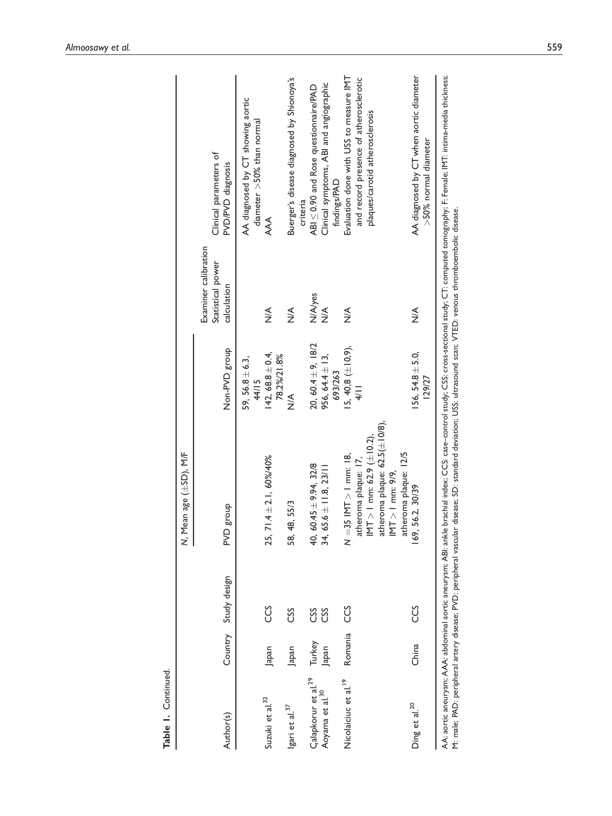| Table I. Continued.              |         |              |                                                                                               |                                    |                                                          |                                                                           |
|----------------------------------|---------|--------------|-----------------------------------------------------------------------------------------------|------------------------------------|----------------------------------------------------------|---------------------------------------------------------------------------|
|                                  |         |              | N, Mean age (±SD), M/F                                                                        |                                    |                                                          |                                                                           |
| Author(s)                        | Country | Study design | PVD group                                                                                     | Non-PVD group                      | Examiner calibration<br>Statistical power<br>calculation | Clinical parameters of<br>PVD/PVD diagnosis                               |
|                                  |         |              |                                                                                               | 59, 56.8 $\pm$ 6.3,<br>44/15       |                                                          | AA diagnosed by CT showing aortic<br>diameter >50% than normal            |
| Suzuki et al. <sup>32</sup>      | Japan   | CCS          | 25, 71.4 ± 2.1, 60%/40%                                                                       | $142,68.8 \pm 0.4,$<br>78.2%/21.8% | $\frac{1}{2}$                                            | $\mathbb{R}^4$                                                            |
| Igari et al. <sup>37</sup>       | Japan   | CSS          | 58, 48, 55/3                                                                                  | $\frac{1}{2}$                      | $\frac{1}{2}$                                            | Buerger's disease diagnosed by Shionoya's<br>criteria                     |
| Galapkorur et al. <sup>29</sup>  | Turkey  | CSS          | 40, 60.45 $\pm$ 9.94, 32/8                                                                    | 20, 60.4 $\pm$ 9, 18/2             | N/A/yes                                                  | $ABI \leq 0.90$ and Rose questionnaire/PAD                                |
| Aoyama et al. <sup>30</sup>      | Japan   | CSS          | 11.8, 23/11<br>34, 65.6 $\pm$                                                                 | 956, $64.4 \pm 13$ ,<br>693/263    | $\frac{3}{2}$                                            | Clinical symptoms, ABI and angiographic<br>findings/PAD                   |
| Nicolaiciuc et al. <sup>19</sup> | Romania | CCS          | $N = 35$ IMT > 1 mm: 18,                                                                      | 15, 40,8 $(\pm 10, 9)$ ,           | $\frac{1}{2}$                                            | Evaluation done with USS to measure IMT                                   |
|                                  |         |              | atheroma plaque: $62.5(\pm 10/8)$ ,<br>IMT > 1 mm: 62.9 ( $\pm$ 10.2)<br>atheroma plaque: 17, | $\frac{4}{1}$                      |                                                          | and record presence of atherosclerotic<br>plaques/carotid atherosclerosis |
|                                  |         |              | atheroma plaque: 12/5<br>$ NT>1$ mm: 9/9,                                                     |                                    |                                                          |                                                                           |
| Ding et al. <sup>20</sup>        | China   | CCS          | 30/39<br>169, 56.2,                                                                           | $156, 54.8 \pm 5.0,$<br>129/27     | $\frac{1}{2}$                                            | AA diagnosed by CT when aortic diameter<br>>50% normal diameter           |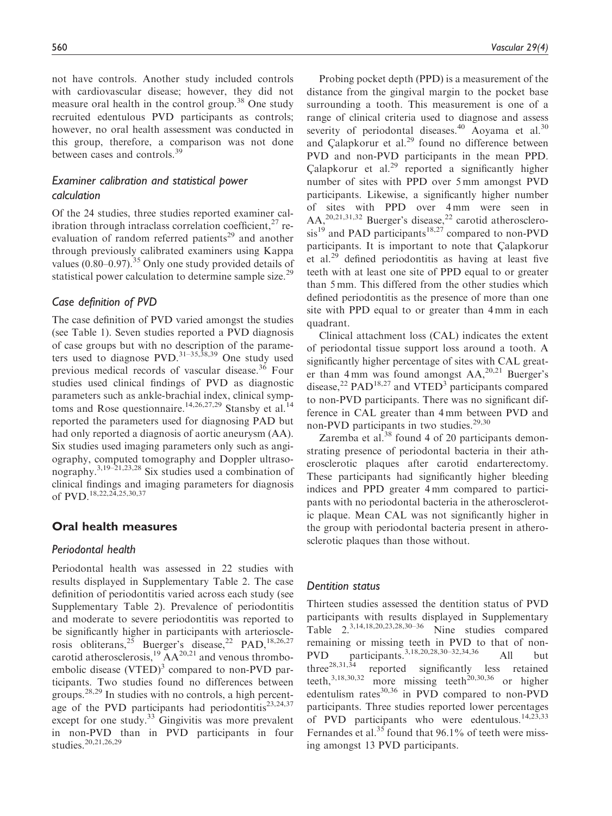not have controls. Another study included controls with cardiovascular disease; however, they did not measure oral health in the control group.<sup>38</sup> One study recruited edentulous PVD participants as controls; however, no oral health assessment was conducted in this group, therefore, a comparison was not done between cases and controls.<sup>39</sup>

# Examiner calibration and statistical power calculation

Of the 24 studies, three studies reported examiner calibration through intraclass correlation coefficient, $^{27}$  reevaluation of random referred patients<sup>29</sup> and another through previously calibrated examiners using Kappa values  $(0.80-0.97)$ .<sup>35</sup> Only one study provided details of statistical power calculation to determine sample size.<sup>29</sup>

#### Case definition of PVD

The case definition of PVD varied amongst the studies (see Table 1). Seven studies reported a PVD diagnosis of case groups but with no description of the parameters used to diagnose  $PVD$ .  $31-35,38,39$  One study used previous medical records of vascular disease.<sup>36</sup> Four studies used clinical findings of PVD as diagnostic parameters such as ankle-brachial index, clinical symptoms and Rose questionnaire.<sup>14,26,27,29</sup> Stansby et al.<sup>14</sup> reported the parameters used for diagnosing PAD but had only reported a diagnosis of aortic aneurysm (AA). Six studies used imaging parameters only such as angiography, computed tomography and Doppler ultrasonography.<sup>3,19–21,23,28</sup> Six studies used a combination of clinical findings and imaging parameters for diagnosis of PVD.<sup>18,22,24,25,30,37</sup>

## Oral health measures

#### Periodontal health

Periodontal health was assessed in 22 studies with results displayed in Supplementary Table 2. The case definition of periodontitis varied across each study (see Supplementary Table 2). Prevalence of periodontitis and moderate to severe periodontitis was reported to be significantly higher in participants with arteriosclerosis obliterans,  $25$  Buerger's disease,  $22$  PAD,  $18,26,27$ carotid atherosclerosis,<sup>19</sup>  $AA^{20,21}$  and venous thromboembolic disease  $(VTED)^3$  compared to non-PVD participants. Two studies found no differences between groups.<sup>28,29</sup> In studies with no controls, a high percentage of the PVD participants had periodontitis<sup>23,24,37</sup> except for one study.<sup>33</sup> Gingivitis was more prevalent in non-PVD than in PVD participants in four studies<sup>20,21,26,29</sup>

Probing pocket depth (PPD) is a measurement of the distance from the gingival margin to the pocket base surrounding a tooth. This measurement is one of a range of clinical criteria used to diagnose and assess severity of periodontal diseases.<sup>40</sup> Aoyama et al.<sup>30</sup> and Calapkorur et al. $^{29}$  found no difference between PVD and non-PVD participants in the mean PPD. Çalapkorur et al.<sup>29</sup> reported a significantly higher number of sites with PPD over 5 mm amongst PVD participants. Likewise, a significantly higher number of sites with PPD over 4 mm were seen in  $AA$ ,<sup>20,21,31,32</sup> Buerger's disease,<sup>22</sup> carotid atherosclerosis<sup>19</sup> and PAD participants<sup>18,27</sup> compared to non-PVD participants. It is important to note that Calapkorur et al.<sup>29</sup> defined periodontitis as having at least five teeth with at least one site of PPD equal to or greater than 5 mm. This differed from the other studies which defined periodontitis as the presence of more than one site with PPD equal to or greater than 4 mm in each quadrant.

Clinical attachment loss (CAL) indicates the extent of periodontal tissue support loss around a tooth. A significantly higher percentage of sites with CAL greater than 4 mm was found amongst  $AA$ ,<sup>20,21</sup> Buerger's disease,<sup>22</sup> PAD<sup>18,27</sup> and VTED<sup>3</sup> participants compared to non-PVD participants. There was no significant difference in CAL greater than 4 mm between PVD and non-PVD participants in two studies.<sup>29,30</sup>

Zaremba et al. $38$  found 4 of 20 participants demonstrating presence of periodontal bacteria in their atherosclerotic plaques after carotid endarterectomy. These participants had significantly higher bleeding indices and PPD greater 4 mm compared to participants with no periodontal bacteria in the atherosclerotic plaque. Mean CAL was not significantly higher in the group with periodontal bacteria present in atherosclerotic plaques than those without.

#### Dentition status

Thirteen studies assessed the dentition status of PVD participants with results displayed in Supplementary Table 2.3,14,18,20,23,28,30–36 Nine studies compared remaining or missing teeth in PVD to that of non-PVD participants.<sup>3,18,20,28,30–32,34,36</sup> All but<br>three<sup>28,31,34</sup> reported significantly less retained reported significantly less retained teeth,<sup>3,18,30,32</sup> more missing teeth<sup>20,30,36</sup> or higher edentulism rates $^{30,36}$  in PVD compared to non-PVD participants. Three studies reported lower percentages of PVD participants who were edentulous.<sup>14,23,33</sup> Fernandes et al.<sup>35</sup> found that  $96.1\%$  of teeth were missing amongst 13 PVD participants.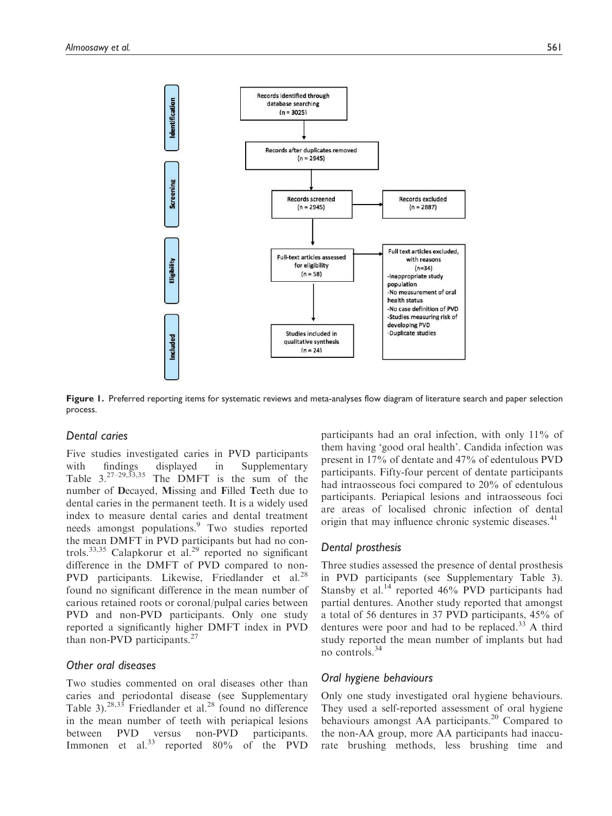

Figure 1. Preferred reporting items for systematic reviews and meta-analyses flow diagram of literature search and paper selection process.

## Dental caries

Five studies investigated caries in PVD participants with findings displayed in Supplementary Table  $3.^{27-29,33,35}$  The DMFT is the sum of the number of Decayed, Missing and Filled Teeth due to dental caries in the permanent teeth. It is a widely used index to measure dental caries and dental treatment needs amongst populations.<sup>9</sup> Two studies reported the mean DMFT in PVD participants but had no controls.<sup>33,35</sup> Calapkorur et al.<sup>29</sup> reported no significant difference in the DMFT of PVD compared to non-PVD participants. Likewise, Friedlander et al.<sup>28</sup> found no significant difference in the mean number of carious retained roots or coronal/pulpal caries between PVD and non-PVD participants. Only one study reported a significantly higher DMFT index in PVD than non-PVD participants. $27$ 

## Other oral diseases

Two studies commented on oral diseases other than caries and periodontal disease (see Supplementary Table 3).<sup>28,33</sup> Friedlander et al.<sup>28</sup> found no difference in the mean number of teeth with periapical lesions between PVD versus non-PVD participants. Immonen et al.<sup>33</sup> reported 80% of the PVD

participants had an oral infection, with only 11% of them having 'good oral health'. Candida infection was present in 17% of dentate and 47% of edentulous PVD participants. Fifty-four percent of dentate participants had intraosseous foci compared to 20% of edentulous participants. Periapical lesions and intraosseous foci are areas of localised chronic infection of dental origin that may influence chronic systemic diseases.<sup>41</sup>

## Dental prosthesis

Three studies assessed the presence of dental prosthesis in PVD participants (see Supplementary Table 3). Stansby et al.<sup>14</sup> reported  $46\%$  PVD participants had partial dentures. Another study reported that amongst a total of 56 dentures in 37 PVD participants, 45% of dentures were poor and had to be replaced.<sup>33</sup> A third study reported the mean number of implants but had no controls.<sup>34</sup>

## Oral hygiene behaviours

Only one study investigated oral hygiene behaviours. They used a self-reported assessment of oral hygiene behaviours amongst AA participants.<sup>20</sup> Compared to the non-AA group, more AA participants had inaccurate brushing methods, less brushing time and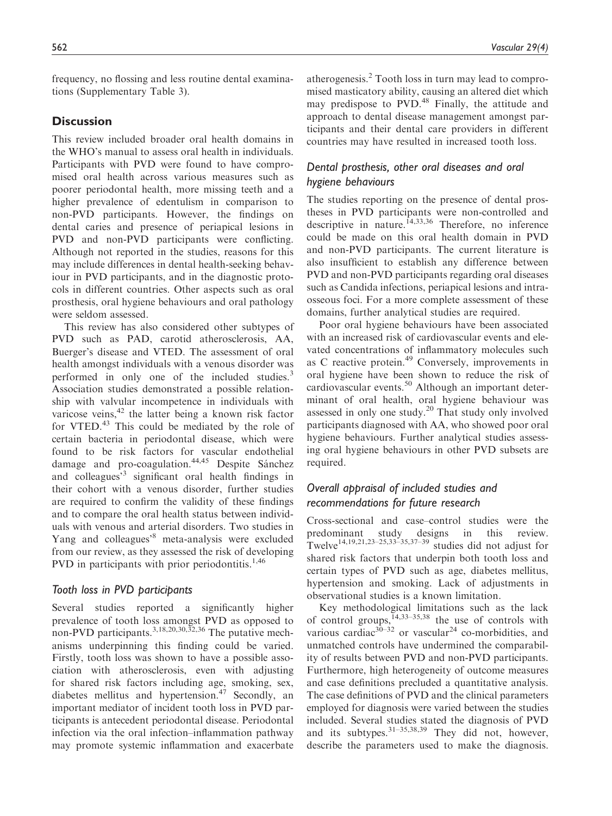frequency, no flossing and less routine dental examinations (Supplementary Table 3).

# **Discussion**

This review included broader oral health domains in the WHO's manual to assess oral health in individuals. Participants with PVD were found to have compromised oral health across various measures such as poorer periodontal health, more missing teeth and a higher prevalence of edentulism in comparison to non-PVD participants. However, the findings on dental caries and presence of periapical lesions in PVD and non-PVD participants were conflicting. Although not reported in the studies, reasons for this may include differences in dental health-seeking behaviour in PVD participants, and in the diagnostic protocols in different countries. Other aspects such as oral prosthesis, oral hygiene behaviours and oral pathology were seldom assessed.

This review has also considered other subtypes of PVD such as PAD, carotid atherosclerosis, AA, Buerger's disease and VTED. The assessment of oral health amongst individuals with a venous disorder was performed in only one of the included studies.<sup>3</sup> Association studies demonstrated a possible relationship with valvular incompetence in individuals with varicose veins, $42$  the latter being a known risk factor for VTED.<sup>43</sup> This could be mediated by the role of certain bacteria in periodontal disease, which were found to be risk factors for vascular endothelial damage and pro-coagulation.<sup>44,45</sup> Despite Sánchez and colleagues'<sup>3</sup> significant oral health findings in their cohort with a venous disorder, further studies are required to confirm the validity of these findings and to compare the oral health status between individuals with venous and arterial disorders. Two studies in Yang and colleagues'<sup>8</sup> meta-analysis were excluded from our review, as they assessed the risk of developing PVD in participants with prior periodontitis.<sup>1,46</sup>

## Tooth loss in PVD participants

Several studies reported a significantly higher prevalence of tooth loss amongst PVD as opposed to non-PVD participants.<sup>3,18,20,30,32,36</sup> The putative mechanisms underpinning this finding could be varied. Firstly, tooth loss was shown to have a possible association with atherosclerosis, even with adjusting for shared risk factors including age, smoking, sex, diabetes mellitus and hypertension.<sup>47</sup> Secondly, an important mediator of incident tooth loss in PVD participants is antecedent periodontal disease. Periodontal infection via the oral infection–inflammation pathway may promote systemic inflammation and exacerbate

atherogenesis.2 Tooth loss in turn may lead to compromised masticatory ability, causing an altered diet which may predispose to  $PVD<sup>48</sup>$  Finally, the attitude and approach to dental disease management amongst participants and their dental care providers in different countries may have resulted in increased tooth loss.

# Dental prosthesis, other oral diseases and oral hygiene behaviours

The studies reporting on the presence of dental prostheses in PVD participants were non-controlled and descriptive in nature.<sup> $[4,33,36]$ </sup> Therefore, no inference could be made on this oral health domain in PVD and non-PVD participants. The current literature is also insufficient to establish any difference between PVD and non-PVD participants regarding oral diseases such as Candida infections, periapical lesions and intraosseous foci. For a more complete assessment of these domains, further analytical studies are required.

Poor oral hygiene behaviours have been associated with an increased risk of cardiovascular events and elevated concentrations of inflammatory molecules such as C reactive protein.<sup>49</sup> Conversely, improvements in oral hygiene have been shown to reduce the risk of cardiovascular events.<sup>50</sup> Although an important determinant of oral health, oral hygiene behaviour was assessed in only one study.<sup>20</sup> That study only involved participants diagnosed with AA, who showed poor oral hygiene behaviours. Further analytical studies assessing oral hygiene behaviours in other PVD subsets are required.

# Overall appraisal of included studies and recommendations for future research

Cross-sectional and case–control studies were the predominant study designs in this review. Twelve<sup>14,19,21,23–25,33–35,37–39</sup> studies did not adjust for shared risk factors that underpin both tooth loss and certain types of PVD such as age, diabetes mellitus, hypertension and smoking. Lack of adjustments in observational studies is a known limitation.

Key methodological limitations such as the lack of control groups,  $14,33-35,38$  the use of controls with various cardiac $30-32$  or vascular<sup>24</sup> co-morbidities, and unmatched controls have undermined the comparability of results between PVD and non-PVD participants. Furthermore, high heterogeneity of outcome measures and case definitions precluded a quantitative analysis. The case definitions of PVD and the clinical parameters employed for diagnosis were varied between the studies included. Several studies stated the diagnosis of PVD and its subtypes.  $31-35,38,39$  They did not, however, describe the parameters used to make the diagnosis.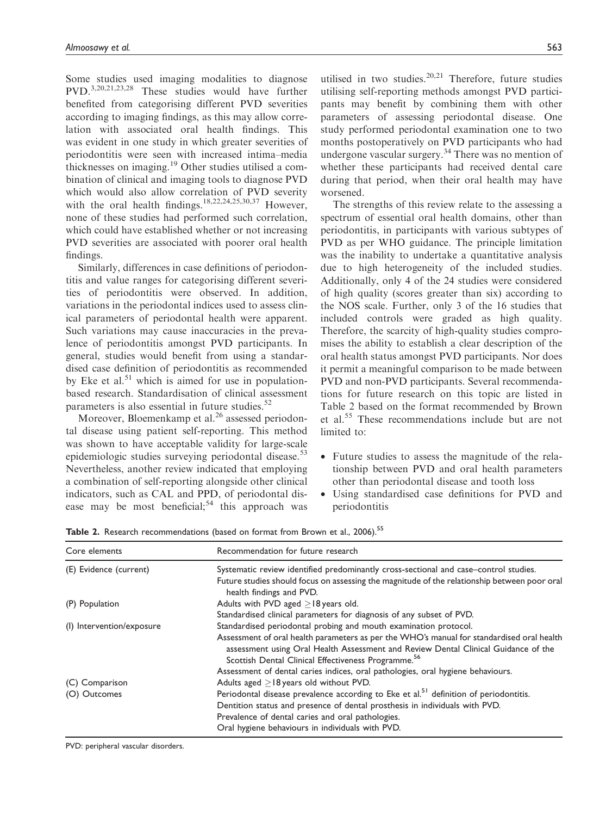Some studies used imaging modalities to diagnose PVD.3,20,21,23,28 These studies would have further benefited from categorising different PVD severities according to imaging findings, as this may allow correlation with associated oral health findings. This was evident in one study in which greater severities of periodontitis were seen with increased intima–media thicknesses on imaging.<sup>19</sup> Other studies utilised a combination of clinical and imaging tools to diagnose PVD which would also allow correlation of PVD severity with the oral health findings.<sup>18,22,24,25,30,37</sup> However, none of these studies had performed such correlation, which could have established whether or not increasing PVD severities are associated with poorer oral health findings.

Similarly, differences in case definitions of periodontitis and value ranges for categorising different severities of periodontitis were observed. In addition, variations in the periodontal indices used to assess clinical parameters of periodontal health were apparent. Such variations may cause inaccuracies in the prevalence of periodontitis amongst PVD participants. In general, studies would benefit from using a standardised case definition of periodontitis as recommended by Eke et al.<sup>51</sup> which is aimed for use in populationbased research. Standardisation of clinical assessment parameters is also essential in future studies. $52$ 

Moreover, Bloemenkamp et al.<sup>26</sup> assessed periodontal disease using patient self-reporting. This method was shown to have acceptable validity for large-scale epidemiologic studies surveying periodontal disease.<sup>53</sup> Nevertheless, another review indicated that employing a combination of self-reporting alongside other clinical indicators, such as CAL and PPD, of periodontal disease may be most beneficial;<sup>54</sup> this approach was

utilised in two studies.<sup>20,21</sup> Therefore, future studies utilising self-reporting methods amongst PVD participants may benefit by combining them with other parameters of assessing periodontal disease. One study performed periodontal examination one to two months postoperatively on PVD participants who had undergone vascular surgery.<sup>34</sup> There was no mention of whether these participants had received dental care during that period, when their oral health may have worsened.

The strengths of this review relate to the assessing a spectrum of essential oral health domains, other than periodontitis, in participants with various subtypes of PVD as per WHO guidance. The principle limitation was the inability to undertake a quantitative analysis due to high heterogeneity of the included studies. Additionally, only 4 of the 24 studies were considered of high quality (scores greater than six) according to the NOS scale. Further, only 3 of the 16 studies that included controls were graded as high quality. Therefore, the scarcity of high-quality studies compromises the ability to establish a clear description of the oral health status amongst PVD participants. Nor does it permit a meaningful comparison to be made between PVD and non-PVD participants. Several recommendations for future research on this topic are listed in Table 2 based on the format recommended by Brown et al.<sup>55</sup> These recommendations include but are not limited to:

- Future studies to assess the magnitude of the relationship between PVD and oral health parameters other than periodontal disease and tooth loss
- Using standardised case definitions for PVD and periodontitis

| Core elements             | Recommendation for future research                                                                                                                                                                                                                 |
|---------------------------|----------------------------------------------------------------------------------------------------------------------------------------------------------------------------------------------------------------------------------------------------|
| (E) Evidence (current)    | Systematic review identified predominantly cross-sectional and case-control studies.                                                                                                                                                               |
|                           | Future studies should focus on assessing the magnitude of the relationship between poor oral<br>health findings and PVD.                                                                                                                           |
| (P) Population            | Adults with PVD aged $>$ 18 years old.                                                                                                                                                                                                             |
|                           | Standardised clinical parameters for diagnosis of any subset of PVD.                                                                                                                                                                               |
| (I) Intervention/exposure | Standardised periodontal probing and mouth examination protocol.                                                                                                                                                                                   |
|                           | Assessment of oral health parameters as per the WHO's manual for standardised oral health<br>assessment using Oral Health Assessment and Review Dental Clinical Guidance of the<br>Scottish Dental Clinical Effectiveness Programme. <sup>56</sup> |
|                           | Assessment of dental caries indices, oral pathologies, oral hygiene behaviours.                                                                                                                                                                    |
| (C) Comparison            | Adults aged $>18$ years old without PVD.                                                                                                                                                                                                           |
| (O) Outcomes              | Periodontal disease prevalence according to Eke et al. <sup>51</sup> definition of periodontitis.                                                                                                                                                  |
|                           | Dentition status and presence of dental prosthesis in individuals with PVD.                                                                                                                                                                        |
|                           | Prevalence of dental caries and oral pathologies.                                                                                                                                                                                                  |
|                           | Oral hygiene behaviours in individuals with PVD.                                                                                                                                                                                                   |

Table 2. Research recommendations (based on format from Brown et al., 2006).<sup>55</sup>

PVD: peripheral vascular disorders.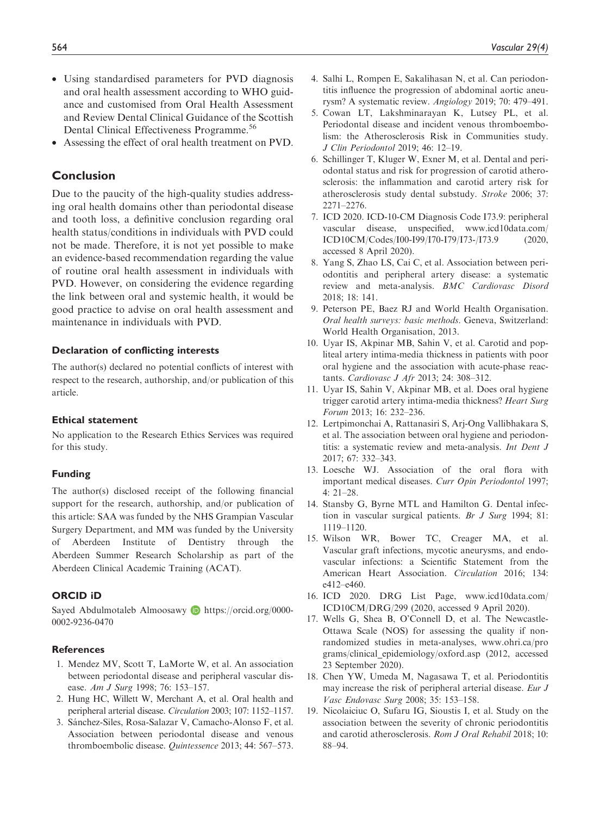- Using standardised parameters for PVD diagnosis and oral health assessment according to WHO guidance and customised from Oral Health Assessment and Review Dental Clinical Guidance of the Scottish Dental Clinical Effectiveness Programme.<sup>56</sup>
- Assessing the effect of oral health treatment on PVD.

## **Conclusion**

Due to the paucity of the high-quality studies addressing oral health domains other than periodontal disease and tooth loss, a definitive conclusion regarding oral health status/conditions in individuals with PVD could not be made. Therefore, it is not yet possible to make an evidence-based recommendation regarding the value of routine oral health assessment in individuals with PVD. However, on considering the evidence regarding the link between oral and systemic health, it would be good practice to advise on oral health assessment and maintenance in individuals with PVD.

#### Declaration of conflicting interests

The author(s) declared no potential conflicts of interest with respect to the research, authorship, and/or publication of this article.

#### Ethical statement

No application to the Research Ethics Services was required for this study.

#### Funding

The author(s) disclosed receipt of the following financial support for the research, authorship, and/or publication of this article: SAA was funded by the NHS Grampian Vascular Surgery Department, and MM was funded by the University of Aberdeen Institute of Dentistry through the Aberdeen Summer Research Scholarship as part of the Aberdeen Clinical Academic Training (ACAT).

#### ORCID iD

Sayed Abdulmotaleb Almoosawy **D** https://orcid.org/0000-0002-9236-0470

#### References

- 1. Mendez MV, Scott T, LaMorte W, et al. An association between periodontal disease and peripheral vascular disease. Am J Surg 1998; 76: 153–157.
- 2. Hung HC, Willett W, Merchant A, et al. Oral health and peripheral arterial disease. Circulation 2003; 107: 1152–1157.
- 3. Sánchez-Siles, Rosa-Salazar V, Camacho-Alonso F, et al. Association between periodontal disease and venous thromboembolic disease. Quintessence 2013; 44: 567–573.
- 4. Salhi L, Rompen E, Sakalihasan N, et al. Can periodontitis influence the progression of abdominal aortic aneurysm? A systematic review. Angiology 2019; 70: 479–491.
- 5. Cowan LT, Lakshminarayan K, Lutsey PL, et al. Periodontal disease and incident venous thromboembolism: the Atherosclerosis Risk in Communities study. J Clin Periodontol 2019; 46: 12–19.
- 6. Schillinger T, Kluger W, Exner M, et al. Dental and periodontal status and risk for progression of carotid atherosclerosis: the inflammation and carotid artery risk for atherosclerosis study dental substudy. Stroke 2006; 37: 2271–2276.
- 7. ICD 2020. ICD-10-CM Diagnosis Code I73.9: peripheral vascular disease, unspecified, www.icd10data.com/ ICD10CM/Codes/I00-I99/I70-I79/I73-/I73.9 (2020, accessed 8 April 2020).
- 8. Yang S, Zhao LS, Cai C, et al. Association between periodontitis and peripheral artery disease: a systematic review and meta-analysis. BMC Cardiovasc Disord 2018; 18: 141.
- 9. Peterson PE, Baez RJ and World Health Organisation. Oral health surveys: basic methods. Geneva, Switzerland: World Health Organisation, 2013.
- 10. Uyar IS, Akpinar MB, Sahin V, et al. Carotid and popliteal artery intima-media thickness in patients with poor oral hygiene and the association with acute-phase reactants. Cardiovasc J Afr 2013; 24: 308–312.
- 11. Uyar IS, Sahin V, Akpinar MB, et al. Does oral hygiene trigger carotid artery intima-media thickness? Heart Surg Forum 2013; 16: 232–236.
- 12. Lertpimonchai A, Rattanasiri S, Arj-Ong Vallibhakara S, et al. The association between oral hygiene and periodontitis: a systematic review and meta-analysis. Int Dent J 2017; 67: 332–343.
- 13. Loesche WJ. Association of the oral flora with important medical diseases. Curr Opin Periodontol 1997;  $4:21-28$
- 14. Stansby G, Byrne MTL and Hamilton G. Dental infection in vascular surgical patients. Br J Surg 1994; 81: 1119–1120.
- 15. Wilson WR, Bower TC, Creager MA, et al. Vascular graft infections, mycotic aneurysms, and endovascular infections: a Scientific Statement from the American Heart Association. Circulation 2016; 134: e412–e460.
- 16. ICD 2020. DRG List Page, www.icd10data.com/ ICD10CM/DRG/299 (2020, accessed 9 April 2020).
- 17. Wells G, Shea B, O'Connell D, et al. The Newcastle-Ottawa Scale (NOS) for assessing the quality if nonrandomized studies in meta-analyses, www.ohri.ca/pro grams/clinical\_epidemiology/oxford.asp (2012, accessed 23 September 2020).
- 18. Chen YW, Umeda M, Nagasawa T, et al. Periodontitis may increase the risk of peripheral arterial disease. Eur J Vasc Endovasc Surg 2008; 35: 153–158.
- 19. Nicolaiciuc O, Sufaru IG, Sioustis I, et al. Study on the association between the severity of chronic periodontitis and carotid atherosclerosis. Rom J Oral Rehabil 2018; 10: 88–94.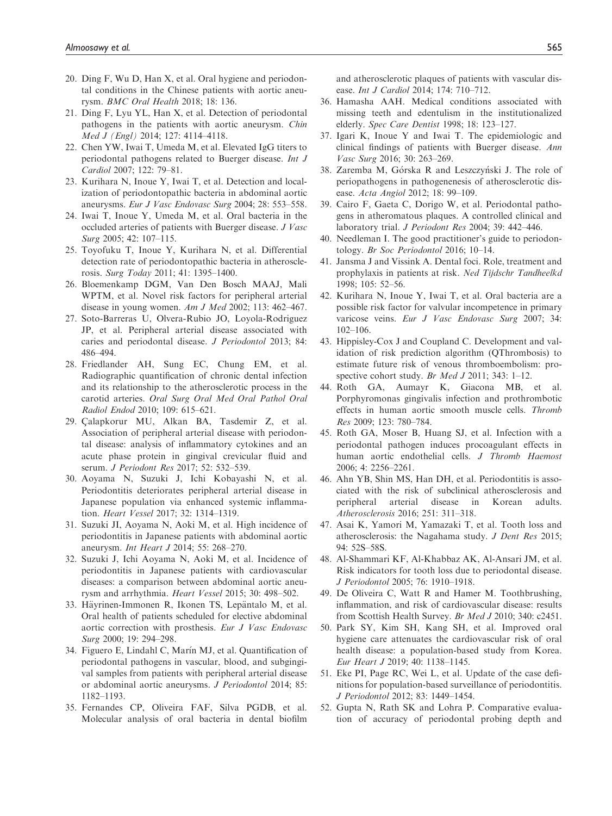- 20. Ding F, Wu D, Han X, et al. Oral hygiene and periodontal conditions in the Chinese patients with aortic aneurysm. BMC Oral Health 2018; 18: 136.
- 21. Ding F, Lyu YL, Han X, et al. Detection of periodontal pathogens in the patients with aortic aneurysm. Chin Med J (Engl) 2014; 127: 4114–4118.
- 22. Chen YW, Iwai T, Umeda M, et al. Elevated IgG titers to periodontal pathogens related to Buerger disease. Int J Cardiol 2007; 122: 79–81.
- 23. Kurihara N, Inoue Y, Iwai T, et al. Detection and localization of periodontopathic bacteria in abdominal aortic aneurysms. Eur J Vasc Endovasc Surg 2004; 28: 553–558.
- 24. Iwai T, Inoue Y, Umeda M, et al. Oral bacteria in the occluded arteries of patients with Buerger disease. J Vasc Surg 2005; 42: 107–115.
- 25. Toyofuku T, Inoue Y, Kurihara N, et al. Differential detection rate of periodontopathic bacteria in atherosclerosis. Surg Today 2011; 41: 1395–1400.
- 26. Bloemenkamp DGM, Van Den Bosch MAAJ, Mali WPTM, et al. Novel risk factors for peripheral arterial disease in young women. Am J Med 2002; 113: 462–467.
- 27. Soto-Barreras U, Olvera-Rubio JO, Loyola-Rodriguez JP, et al. Peripheral arterial disease associated with caries and periodontal disease. J Periodontol 2013; 84: 486–494.
- 28. Friedlander AH, Sung EC, Chung EM, et al. Radiographic quantification of chronic dental infection and its relationship to the atherosclerotic process in the carotid arteries. Oral Surg Oral Med Oral Pathol Oral Radiol Endod 2010; 109: 615–621.
- 29. Calapkorur MU, Alkan BA, Tasdemir Z, et al. Association of peripheral arterial disease with periodontal disease: analysis of inflammatory cytokines and an acute phase protein in gingival crevicular fluid and serum. J Periodont Res 2017; 52: 532–539.
- 30. Aoyama N, Suzuki J, Ichi Kobayashi N, et al. Periodontitis deteriorates peripheral arterial disease in Japanese population via enhanced systemic inflammation. Heart Vessel 2017; 32: 1314–1319.
- 31. Suzuki JI, Aoyama N, Aoki M, et al. High incidence of periodontitis in Japanese patients with abdominal aortic aneurysm. Int Heart J 2014; 55: 268–270.
- 32. Suzuki J, Ichi Aoyama N, Aoki M, et al. Incidence of periodontitis in Japanese patients with cardiovascular diseases: a comparison between abdominal aortic aneurysm and arrhythmia. Heart Vessel 2015; 30: 498–502.
- 33. Häyrinen-Immonen R, Ikonen TS, Lepäntalo M, et al. Oral health of patients scheduled for elective abdominal aortic correction with prosthesis. Eur J Vasc Endovasc Surg 2000; 19: 294–298.
- 34. Figuero E, Lindahl C, Marín MJ, et al. Quantification of periodontal pathogens in vascular, blood, and subgingival samples from patients with peripheral arterial disease or abdominal aortic aneurysms. J Periodontol 2014; 85: 1182–1193.
- 35. Fernandes CP, Oliveira FAF, Silva PGDB, et al. Molecular analysis of oral bacteria in dental biofilm

and atherosclerotic plaques of patients with vascular disease. *Int J Cardiol* 2014; 174: 710–712.

- 36. Hamasha AAH. Medical conditions associated with missing teeth and edentulism in the institutionalized elderly. Spec Care Dentist 1998; 18: 123–127.
- 37. Igari K, Inoue Y and Iwai T. The epidemiologic and clinical findings of patients with Buerger disease. Ann Vasc Surg 2016; 30: 263–269.
- 38. Zaremba M, Górska R and Leszczyński J. The role of periopathogens in pathogenenesis of atherosclerotic disease. Acta Angiol 2012; 18: 99–109.
- 39. Cairo F, Gaeta C, Dorigo W, et al. Periodontal pathogens in atheromatous plaques. A controlled clinical and laboratory trial. *J Periodont Res* 2004; 39: 442-446.
- 40. Needleman I. The good practitioner's guide to periodontology. Br Soc Periodontol 2016; 10–14.
- 41. Jansma J and Vissink A. Dental foci. Role, treatment and prophylaxis in patients at risk. Ned Tijdschr Tandheelkd 1998; 105: 52–56.
- 42. Kurihara N, Inoue Y, Iwai T, et al. Oral bacteria are a possible risk factor for valvular incompetence in primary varicose veins. Eur J Vasc Endovasc Surg 2007; 34: 102–106.
- 43. Hippisley-Cox J and Coupland C. Development and validation of risk prediction algorithm (QThrombosis) to estimate future risk of venous thromboembolism: prospective cohort study. Br Med J 2011; 343: 1-12.
- 44. Roth GA, Aumayr K, Giacona MB, et al. Porphyromonas gingivalis infection and prothrombotic effects in human aortic smooth muscle cells. Thromb Res 2009; 123: 780–784.
- 45. Roth GA, Moser B, Huang SJ, et al. Infection with a periodontal pathogen induces procoagulant effects in human aortic endothelial cells. J Thromb Haemost 2006; 4: 2256–2261.
- 46. Ahn YB, Shin MS, Han DH, et al. Periodontitis is associated with the risk of subclinical atherosclerosis and peripheral arterial disease in Korean adults. Atherosclerosis 2016; 251: 311–318.
- 47. Asai K, Yamori M, Yamazaki T, et al. Tooth loss and atherosclerosis: the Nagahama study. J Dent Res 2015; 94: 52S–58S.
- 48. Al-Shammari KF, Al-Khabbaz AK, Al-Ansari JM, et al. Risk indicators for tooth loss due to periodontal disease. J Periodontol 2005; 76: 1910–1918.
- 49. De Oliveira C, Watt R and Hamer M. Toothbrushing, inflammation, and risk of cardiovascular disease: results from Scottish Health Survey. Br Med J 2010; 340: c2451.
- 50. Park SY, Kim SH, Kang SH, et al. Improved oral hygiene care attenuates the cardiovascular risk of oral health disease: a population-based study from Korea. Eur Heart J 2019; 40: 1138–1145.
- 51. Eke PI, Page RC, Wei L, et al. Update of the case definitions for population-based surveillance of periodontitis. J Periodontol 2012; 83: 1449–1454.
- 52. Gupta N, Rath SK and Lohra P. Comparative evaluation of accuracy of periodontal probing depth and